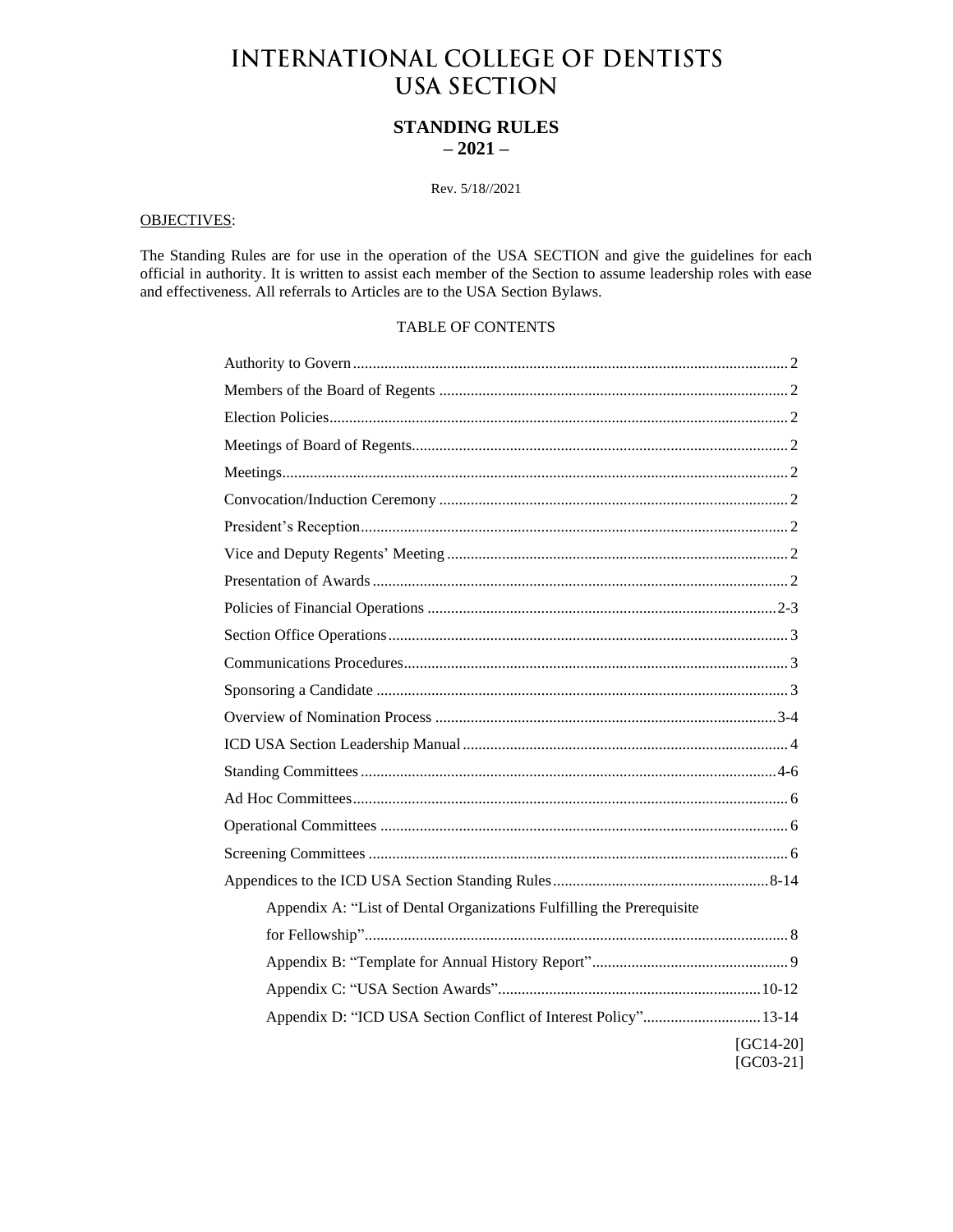# **INTERNATIONAL COLLEGE OF DENTISTS USA SECTION**

# **STANDING RULES**  $-2021-$

# Rev. 5/18//2021

# **OBJECTIVES:**

The Standing Rules are for use in the operation of the USA SECTION and give the guidelines for each official in authority. It is written to assist each member of the Section to assume leadership roles with ease and effectiveness. All referrals to Articles are to the USA Section Bylaws.

# TABLE OF CONTENTS

| Appendix A: "List of Dental Organizations Fulfilling the Prerequisite |
|-----------------------------------------------------------------------|
|                                                                       |
|                                                                       |
|                                                                       |
| Appendix D: "ICD USA Section Conflict of Interest Policy" 13-14       |
| $[GC14-20]$<br>$[GC03-21]$                                            |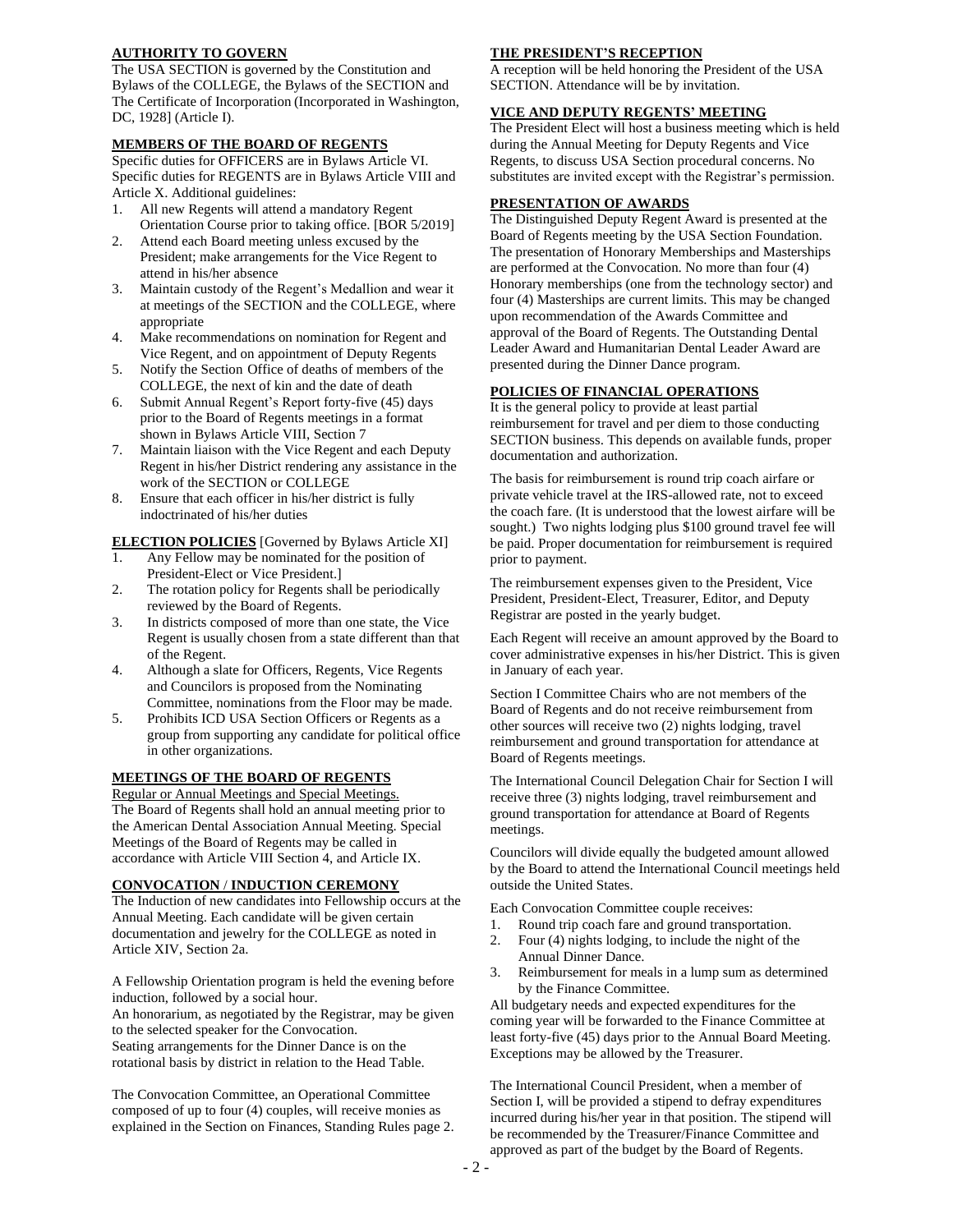# **AUTHORITY TO GOVERN**

The USA SECTION is governed by the Constitution and Bylaws of the COLLEGE, the Bylaws of the SECTION and The Certificate of Incorporation (Incorporated in Washington, DC, 1928] (Article I).

#### **MEMBERS OF THE BOARD OF REGENTS**

Specific duties for OFFICERS are in Bylaws Article VI. Specific duties for REGENTS are in Bylaws Article VIII and Article X. Additional guidelines:

- 1. All new Regents will attend a mandatory Regent Orientation Course prior to taking office. [BOR 5/2019]
- 2. Attend each Board meeting unless excused by the President; make arrangements for the Vice Regent to attend in his/her absence
- 3. Maintain custody of the Regent's Medallion and wear it at meetings of the SECTION and the COLLEGE, where appropriate
- 4. Make recommendations on nomination for Regent and Vice Regent, and on appointment of Deputy Regents
- 5. Notify the Section Office of deaths of members of the COLLEGE, the next of kin and the date of death
- 6. Submit Annual Regent's Report forty-five (45) days prior to the Board of Regents meetings in a format shown in Bylaws Article VIII, Section 7
- 7. Maintain liaison with the Vice Regent and each Deputy Regent in his/her District rendering any assistance in the work of the SECTION or COLLEGE
- 8. Ensure that each officer in his/her district is fully indoctrinated of his/her duties

**ELECTION POLICIES** [Governed by Bylaws Article XI]

- 1. Any Fellow may be nominated for the position of President-Elect or Vice President.]
- 2. The rotation policy for Regents shall be periodically reviewed by the Board of Regents.
- 3. In districts composed of more than one state, the Vice Regent is usually chosen from a state different than that of the Regent.
- 4. Although a slate for Officers, Regents, Vice Regents and Councilors is proposed from the Nominating Committee, nominations from the Floor may be made.
- 5. Prohibits ICD USA Section Officers or Regents as a group from supporting any candidate for political office in other organizations.

# **MEETINGS OF THE BOARD OF REGENTS**

Regular or Annual Meetings and Special Meetings. The Board of Regents shall hold an annual meeting prior to the American Dental Association Annual Meeting. Special Meetings of the Board of Regents may be called in accordance with Article VIII Section 4, and Article IX.

#### **CONVOCATION** / **INDUCTION CEREMONY**

The Induction of new candidates into Fellowship occurs at the Annual Meeting. Each candidate will be given certain documentation and jewelry for the COLLEGE as noted in Article XIV, Section 2a.

A Fellowship Orientation program is held the evening before induction, followed by a social hour. An honorarium, as negotiated by the Registrar, may be given to the selected speaker for the Convocation.

Seating arrangements for the Dinner Dance is on the rotational basis by district in relation to the Head Table.

The Convocation Committee, an Operational Committee composed of up to four (4) couples, will receive monies as explained in the Section on Finances, Standing Rules page 2.

#### **THE PRESIDENT'S RECEPTION**

A reception will be held honoring the President of the USA SECTION. Attendance will be by invitation.

#### **VICE AND DEPUTY REGENTS' MEETING**

The President Elect will host a business meeting which is held during the Annual Meeting for Deputy Regents and Vice Regents, to discuss USA Section procedural concerns. No substitutes are invited except with the Registrar's permission.

#### **PRESENTATION OF AWARDS**

The Distinguished Deputy Regent Award is presented at the Board of Regents meeting by the USA Section Foundation. The presentation of Honorary Memberships and Masterships are performed at the Convocation. No more than four (4) Honorary memberships (one from the technology sector) and four (4) Masterships are current limits. This may be changed upon recommendation of the Awards Committee and approval of the Board of Regents. The Outstanding Dental Leader Award and Humanitarian Dental Leader Award are presented during the Dinner Dance program.

#### **POLICIES OF FINANCIAL OPERATIONS**

It is the general policy to provide at least partial reimbursement for travel and per diem to those conducting SECTION business. This depends on available funds, proper documentation and authorization.

The basis for reimbursement is round trip coach airfare or private vehicle travel at the IRS-allowed rate, not to exceed the coach fare. (It is understood that the lowest airfare will be sought.) Two nights lodging plus \$100 ground travel fee will be paid. Proper documentation for reimbursement is required prior to payment.

The reimbursement expenses given to the President, Vice President, President-Elect, Treasurer, Editor, and Deputy Registrar are posted in the yearly budget.

Each Regent will receive an amount approved by the Board to cover administrative expenses in his/her District. This is given in January of each year.

Section I Committee Chairs who are not members of the Board of Regents and do not receive reimbursement from other sources will receive two (2) nights lodging, travel reimbursement and ground transportation for attendance at Board of Regents meetings.

The International Council Delegation Chair for Section I will receive three (3) nights lodging, travel reimbursement and ground transportation for attendance at Board of Regents meetings.

Councilors will divide equally the budgeted amount allowed by the Board to attend the International Council meetings held outside the United States.

Each Convocation Committee couple receives:

- 1. Round trip coach fare and ground transportation.
- 2. Four (4) nights lodging, to include the night of the Annual Dinner Dance.
- 3. Reimbursement for meals in a lump sum as determined by the Finance Committee.

All budgetary needs and expected expenditures for the coming year will be forwarded to the Finance Committee at least forty-five (45) days prior to the Annual Board Meeting. Exceptions may be allowed by the Treasurer.

The International Council President, when a member of Section I, will be provided a stipend to defray expenditures incurred during his/her year in that position. The stipend will be recommended by the Treasurer/Finance Committee and approved as part of the budget by the Board of Regents.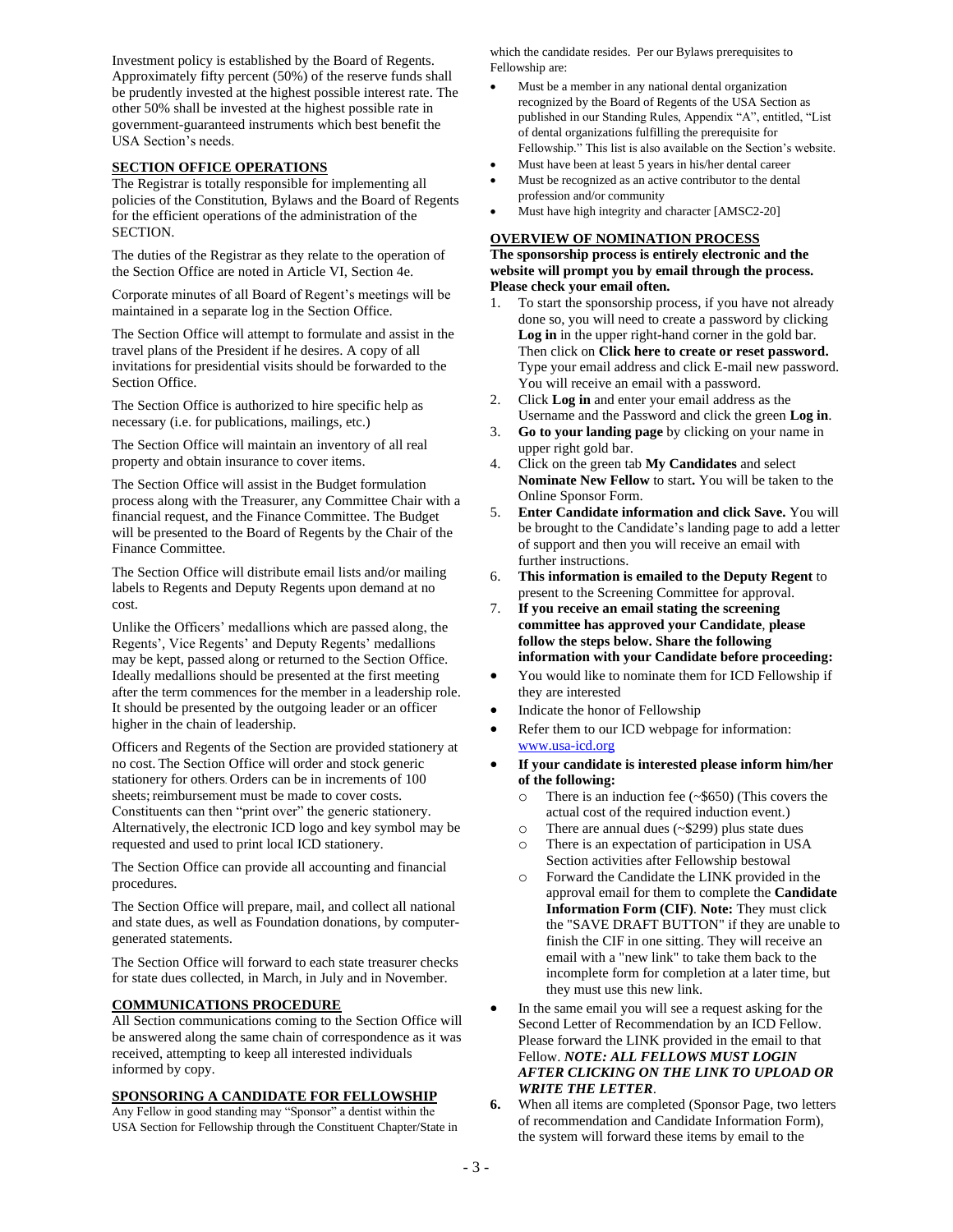Investment policy is established by the Board of Regents. Approximately fifty percent (50%) of the reserve funds shall be prudently invested at the highest possible interest rate. The other 50% shall be invested at the highest possible rate in government-guaranteed instruments which best benefit the USA Section's needs.

#### **SECTION OFFICE OPERATIONS**

The Registrar is totally responsible for implementing all policies of the Constitution, Bylaws and the Board of Regents for the efficient operations of the administration of the SECTION.

The duties of the Registrar as they relate to the operation of the Section Office are noted in Article VI, Section 4e.

Corporate minutes of all Board of Regent's meetings will be maintained in a separate log in the Section Office.

The Section Office will attempt to formulate and assist in the travel plans of the President if he desires. A copy of all invitations for presidential visits should be forwarded to the Section Office.

The Section Office is authorized to hire specific help as necessary (i.e. for publications, mailings, etc.)

The Section Office will maintain an inventory of all real property and obtain insurance to cover items.

The Section Office will assist in the Budget formulation process along with the Treasurer, any Committee Chair with a financial request, and the Finance Committee. The Budget will be presented to the Board of Regents by the Chair of the Finance Committee.

The Section Office will distribute email lists and/or mailing labels to Regents and Deputy Regents upon demand at no cost.

Unlike the Officers' medallions which are passed along, the Regents', Vice Regents' and Deputy Regents' medallions may be kept, passed along or returned to the Section Office. Ideally medallions should be presented at the first meeting after the term commences for the member in a leadership role. It should be presented by the outgoing leader or an officer higher in the chain of leadership.

Officers and Regents of the Section are provided stationery at no cost. The Section Office will order and stock generic stationery for others. Orders can be in increments of 100 sheets; reimbursement must be made to cover costs. Constituents can then "print over" the generic stationery. Alternatively, the electronic ICD logo and key symbol may be requested and used to print local ICD stationery.

The Section Office can provide all accounting and financial procedures.

The Section Office will prepare, mail, and collect all national and state dues, as well as Foundation donations, by computergenerated statements.

The Section Office will forward to each state treasurer checks for state dues collected, in March, in July and in November.

#### **COMMUNICATIONS PROCEDURE**

All Section communications coming to the Section Office will be answered along the same chain of correspondence as it was received, attempting to keep all interested individuals informed by copy.

# **SPONSORING A CANDIDATE FOR FELLOWSHIP**

Any Fellow in good standing may "Sponsor" a dentist within the USA Section for Fellowship through the Constituent Chapter/State in which the candidate resides. Per our Bylaws prerequisites to Fellowship are:

- Must be a member in any national dental organization recognized by the Board of Regents of the USA Section as published in our Standing Rules, Appendix "A", entitled, "List of dental organizations fulfilling the prerequisite for Fellowship." This list is also available on the Section's website.
- Must have been at least 5 years in his/her dental career
- Must be recognized as an active contributor to the dental profession and/or community
- Must have high integrity and character [AMSC2-20]

# **OVERVIEW OF NOMINATION PROCESS**

#### **The sponsorship process is entirely electronic and the website will prompt you by email through the process. Please check your email often.**

- 1. To start the sponsorship process, if you have not already done so, you will need to create a password by clicking **Log in** in the upper right-hand corner in the gold bar. Then click on **Click here to create or reset password.** Type your email address and click E-mail new password. You will receive an email with a password.
- 2. Click **Log in** and enter your email address as the Username and the Password and click the green **Log in**.
- 3. **Go to your landing page** by clicking on your name in upper right gold bar.
- 4. Click on the green tab **My Candidates** and select **Nominate New Fellow** to start**.** You will be taken to the Online Sponsor Form.
- 5. **Enter Candidate information and click Save.** You will be brought to the Candidate's landing page to add a letter of support and then you will receive an email with further instructions.
- 6. **This information is emailed to the Deputy Regent** to present to the Screening Committee for approval.
- 7. **If you receive an email stating the screening committee has approved your Candidate**, **please follow the steps below. Share the following information with your Candidate before proceeding:**
- You would like to nominate them for ICD Fellowship if they are interested
- Indicate the honor of Fellowship
- Refer them to our ICD webpage for information: [www.usa-icd.org](http://www.usa-icd.org/)
- **If your candidate is interested please inform him/her of the following:**
	- There is an induction fee  $(*\$650)$  (This covers the actual cost of the required induction event.)
	- o There are annual dues (~\$299) plus state dues
	- o There is an expectation of participation in USA Section activities after Fellowship bestowal
	- o Forward the Candidate the LINK provided in the approval email for them to complete the **Candidate Information Form (CIF)**. **Note:** They must click the "SAVE DRAFT BUTTON" if they are unable to finish the CIF in one sitting. They will receive an email with a "new link" to take them back to the incomplete form for completion at a later time, but they must use this new link.
- In the same email you will see a request asking for the Second Letter of Recommendation by an ICD Fellow. Please forward the LINK provided in the email to that Fellow. *NOTE: ALL FELLOWS MUST LOGIN AFTER CLICKING ON THE LINK TO UPLOAD OR WRITE THE LETTER*.
- **6.** When all items are completed (Sponsor Page, two letters of recommendation and Candidate Information Form), the system will forward these items by email to the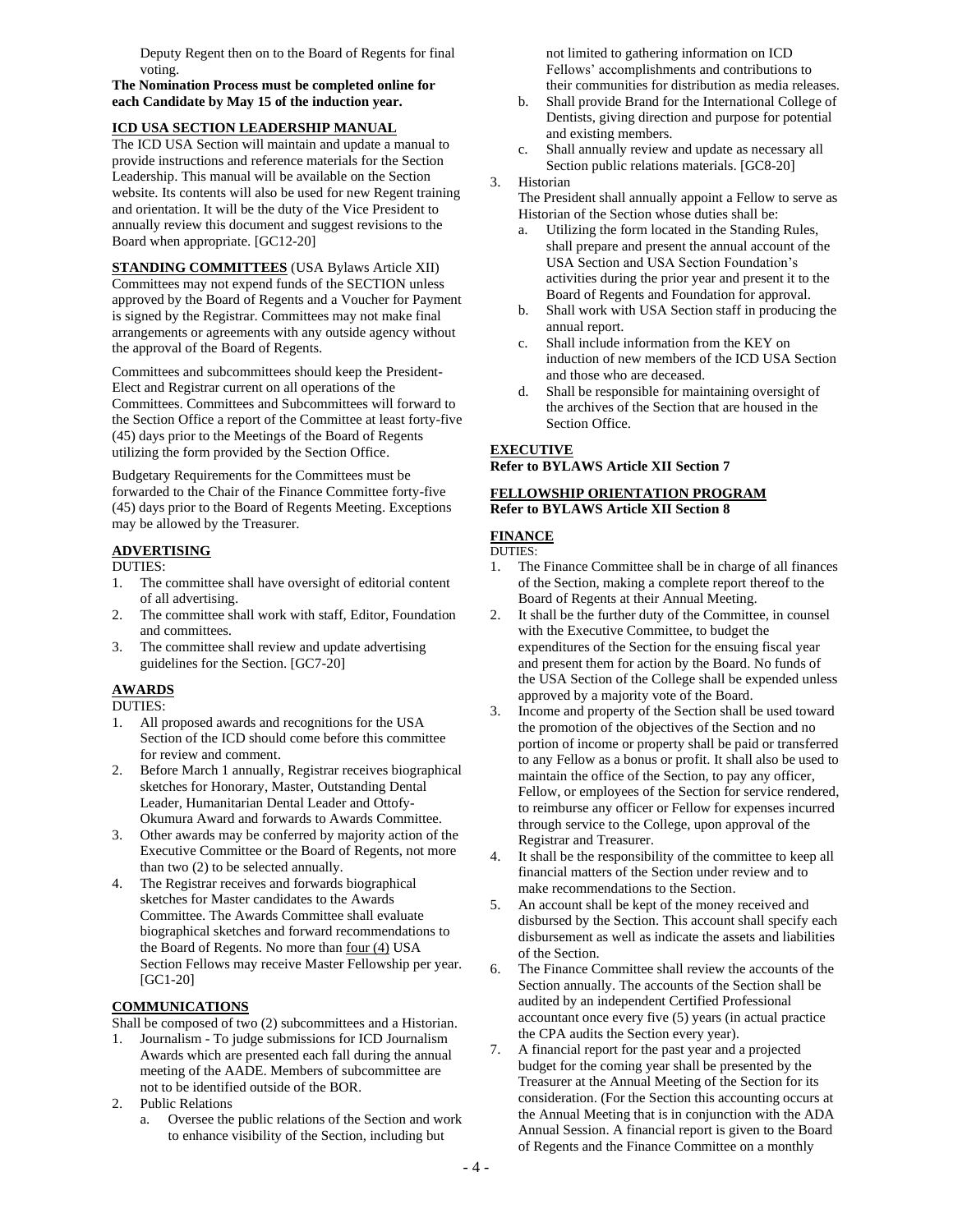Deputy Regent then on to the Board of Regents for final voting.

**The Nomination Process must be completed online for each Candidate by May 15 of the induction year.** 

### **ICD USA SECTION LEADERSHIP MANUAL**

The ICD USA Section will maintain and update a manual to provide instructions and reference materials for the Section Leadership. This manual will be available on the Section website. Its contents will also be used for new Regent training and orientation. It will be the duty of the Vice President to annually review this document and suggest revisions to the Board when appropriate. [GC12-20]

**STANDING COMMITTEES** (USA Bylaws Article XII) Committees may not expend funds of the SECTION unless approved by the Board of Regents and a Voucher for Payment is signed by the Registrar. Committees may not make final arrangements or agreements with any outside agency without the approval of the Board of Regents.

Committees and subcommittees should keep the President-Elect and Registrar current on all operations of the Committees. Committees and Subcommittees will forward to the Section Office a report of the Committee at least forty-five (45) days prior to the Meetings of the Board of Regents utilizing the form provided by the Section Office.

Budgetary Requirements for the Committees must be forwarded to the Chair of the Finance Committee forty-five (45) days prior to the Board of Regents Meeting. Exceptions may be allowed by the Treasurer.

# **ADVERTISING**

DUTIES:

- 1. The committee shall have oversight of editorial content of all advertising.
- 2. The committee shall work with staff, Editor, Foundation and committees.
- 3. The committee shall review and update advertising guidelines for the Section. [GC7-20]

### **AWARDS**

DUTIES:

- 1. All proposed awards and recognitions for the USA Section of the ICD should come before this committee for review and comment.
- 2. Before March 1 annually, Registrar receives biographical sketches for Honorary, Master, Outstanding Dental Leader, Humanitarian Dental Leader and Ottofy-Okumura Award and forwards to Awards Committee.
- 3. Other awards may be conferred by majority action of the Executive Committee or the Board of Regents, not more than two (2) to be selected annually.
- 4. The Registrar receives and forwards biographical sketches for Master candidates to the Awards Committee. The Awards Committee shall evaluate biographical sketches and forward recommendations to the Board of Regents. No more than four (4) USA Section Fellows may receive Master Fellowship per year. [GC1-20]

# **COMMUNICATIONS**

Shall be composed of two (2) subcommittees and a Historian.

- 1. Journalism To judge submissions for ICD Journalism Awards which are presented each fall during the annual meeting of the AADE. Members of subcommittee are not to be identified outside of the BOR.
- 2. Public Relations
	- a. Oversee the public relations of the Section and work to enhance visibility of the Section, including but

not limited to gathering information on ICD Fellows' accomplishments and contributions to their communities for distribution as media releases.

- b. Shall provide Brand for the International College of Dentists, giving direction and purpose for potential and existing members.
- c. Shall annually review and update as necessary all Section public relations materials. [GC8-20]

#### 3. Historian

The President shall annually appoint a Fellow to serve as Historian of the Section whose duties shall be:

- a. Utilizing the form located in the Standing Rules, shall prepare and present the annual account of the USA Section and USA Section Foundation's activities during the prior year and present it to the Board of Regents and Foundation for approval.
- b. Shall work with USA Section staff in producing the annual report.
- c. Shall include information from the KEY on induction of new members of the ICD USA Section and those who are deceased.
- d. Shall be responsible for maintaining oversight of the archives of the Section that are housed in the Section Office.

### **EXECUTIVE**

**Refer to BYLAWS Article XII Section 7**

#### **FELLOWSHIP ORIENTATION PROGRAM Refer to BYLAWS Article XII Section 8**

### **FINANCE**

- DUTIES:
- 1. The Finance Committee shall be in charge of all finances of the Section, making a complete report thereof to the Board of Regents at their Annual Meeting.
- 2. It shall be the further duty of the Committee, in counsel with the Executive Committee, to budget the expenditures of the Section for the ensuing fiscal year and present them for action by the Board. No funds of the USA Section of the College shall be expended unless approved by a majority vote of the Board.
- 3. Income and property of the Section shall be used toward the promotion of the objectives of the Section and no portion of income or property shall be paid or transferred to any Fellow as a bonus or profit. It shall also be used to maintain the office of the Section, to pay any officer, Fellow, or employees of the Section for service rendered, to reimburse any officer or Fellow for expenses incurred through service to the College, upon approval of the Registrar and Treasurer.
- 4. It shall be the responsibility of the committee to keep all financial matters of the Section under review and to make recommendations to the Section.
- 5. An account shall be kept of the money received and disbursed by the Section. This account shall specify each disbursement as well as indicate the assets and liabilities of the Section.
- 6. The Finance Committee shall review the accounts of the Section annually. The accounts of the Section shall be audited by an independent Certified Professional accountant once every five (5) years (in actual practice the CPA audits the Section every year).
- 7. A financial report for the past year and a projected budget for the coming year shall be presented by the Treasurer at the Annual Meeting of the Section for its consideration. (For the Section this accounting occurs at the Annual Meeting that is in conjunction with the ADA Annual Session. A financial report is given to the Board of Regents and the Finance Committee on a monthly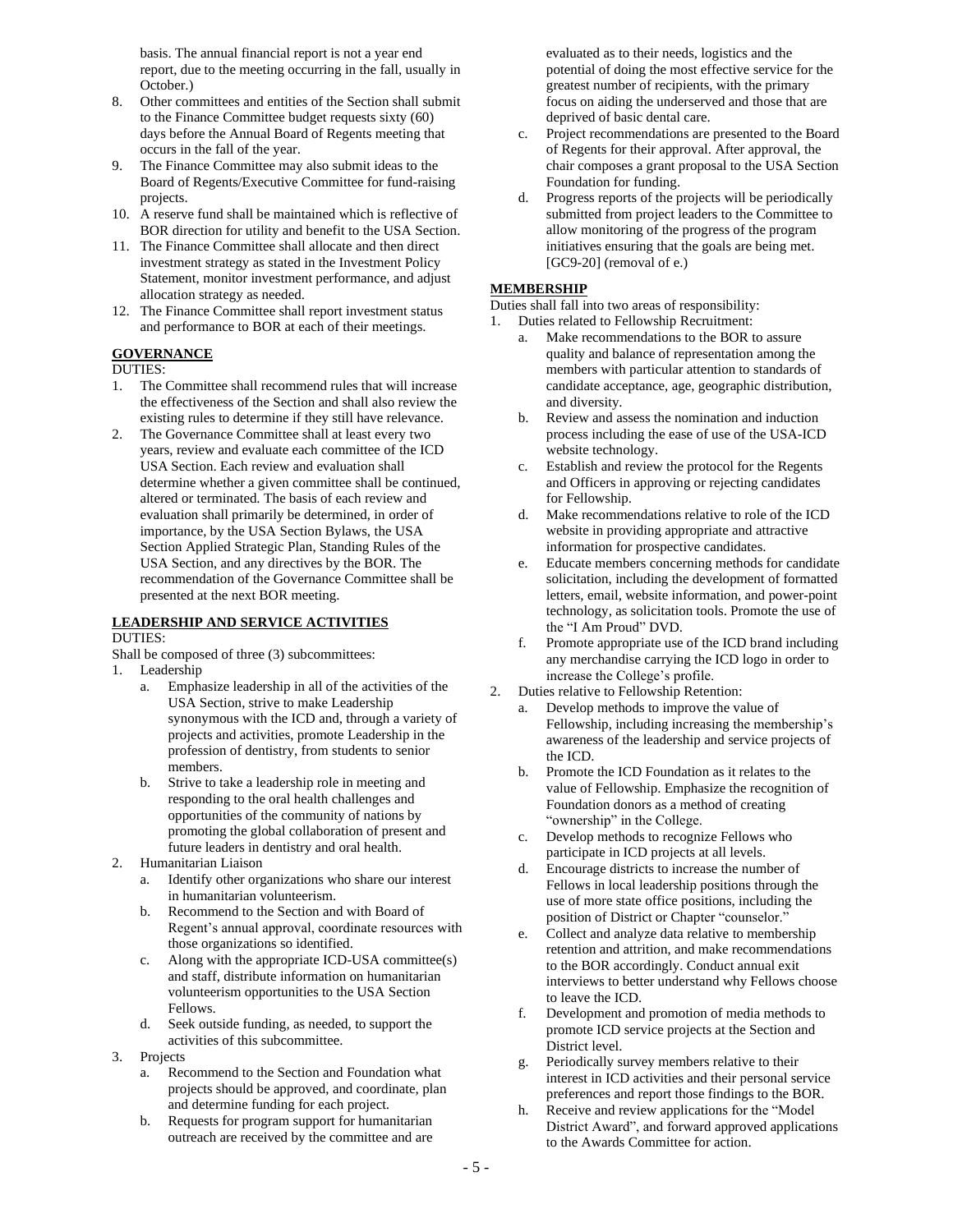basis. The annual financial report is not a year end report, due to the meeting occurring in the fall, usually in October.)

- 8. Other committees and entities of the Section shall submit to the Finance Committee budget requests sixty (60) days before the Annual Board of Regents meeting that occurs in the fall of the year.
- 9. The Finance Committee may also submit ideas to the Board of Regents/Executive Committee for fund-raising projects.
- 10. A reserve fund shall be maintained which is reflective of BOR direction for utility and benefit to the USA Section.
- 11. The Finance Committee shall allocate and then direct investment strategy as stated in the Investment Policy Statement, monitor investment performance, and adjust allocation strategy as needed.
- 12. The Finance Committee shall report investment status and performance to BOR at each of their meetings.

#### **GOVERNANCE**

#### DUTIES:

- 1. The Committee shall recommend rules that will increase the effectiveness of the Section and shall also review the existing rules to determine if they still have relevance.
- 2. The Governance Committee shall at least every two years, review and evaluate each committee of the ICD USA Section. Each review and evaluation shall determine whether a given committee shall be continued, altered or terminated. The basis of each review and evaluation shall primarily be determined, in order of importance, by the USA Section Bylaws, the USA Section Applied Strategic Plan, Standing Rules of the USA Section, and any directives by the BOR. The recommendation of the Governance Committee shall be presented at the next BOR meeting.

#### **LEADERSHIP AND SERVICE ACTIVITIES** DUTIES:

Shall be composed of three (3) subcommittees:

- 1. Leadership
	- a. Emphasize leadership in all of the activities of the USA Section, strive to make Leadership synonymous with the ICD and, through a variety of projects and activities, promote Leadership in the profession of dentistry, from students to senior members.
	- b. Strive to take a leadership role in meeting and responding to the oral health challenges and opportunities of the community of nations by promoting the global collaboration of present and future leaders in dentistry and oral health.
- 2. Humanitarian Liaison
	- a. Identify other organizations who share our interest in humanitarian volunteerism.
	- b. Recommend to the Section and with Board of Regent's annual approval, coordinate resources with those organizations so identified.
	- c. Along with the appropriate ICD-USA committee(s) and staff, distribute information on humanitarian volunteerism opportunities to the USA Section Fellows.
	- d. Seek outside funding, as needed, to support the activities of this subcommittee.
- 3. Projects
	- a. Recommend to the Section and Foundation what projects should be approved, and coordinate, plan and determine funding for each project.
	- b. Requests for program support for humanitarian outreach are received by the committee and are

evaluated as to their needs, logistics and the potential of doing the most effective service for the greatest number of recipients, with the primary focus on aiding the underserved and those that are deprived of basic dental care.

- c. Project recommendations are presented to the Board of Regents for their approval. After approval, the chair composes a grant proposal to the USA Section Foundation for funding.
- d. Progress reports of the projects will be periodically submitted from project leaders to the Committee to allow monitoring of the progress of the program initiatives ensuring that the goals are being met.  $[GC9-20]$  (removal of e.)

# **MEMBERSHIP**

Duties shall fall into two areas of responsibility:

1. Duties related to Fellowship Recruitment:

- a. Make recommendations to the BOR to assure quality and balance of representation among the members with particular attention to standards of candidate acceptance, age, geographic distribution, and diversity.
- b. Review and assess the nomination and induction process including the ease of use of the USA-ICD website technology.
- c. Establish and review the protocol for the Regents and Officers in approving or rejecting candidates for Fellowship.
- d. Make recommendations relative to role of the ICD website in providing appropriate and attractive information for prospective candidates.
- e. Educate members concerning methods for candidate solicitation, including the development of formatted letters, email, website information, and power-point technology, as solicitation tools. Promote the use of the "I Am Proud" DVD.
- f. Promote appropriate use of the ICD brand including any merchandise carrying the ICD logo in order to increase the College's profile.
- 2. Duties relative to Fellowship Retention:
	- a. Develop methods to improve the value of Fellowship, including increasing the membership's awareness of the leadership and service projects of the ICD.
	- b. Promote the ICD Foundation as it relates to the value of Fellowship. Emphasize the recognition of Foundation donors as a method of creating "ownership" in the College.
	- c. Develop methods to recognize Fellows who participate in ICD projects at all levels.
	- d. Encourage districts to increase the number of Fellows in local leadership positions through the use of more state office positions, including the position of District or Chapter "counselor."
	- e. Collect and analyze data relative to membership retention and attrition, and make recommendations to the BOR accordingly. Conduct annual exit interviews to better understand why Fellows choose to leave the ICD.
	- f. Development and promotion of media methods to promote ICD service projects at the Section and District level.
	- g. Periodically survey members relative to their interest in ICD activities and their personal service preferences and report those findings to the BOR.
	- h. Receive and review applications for the "Model District Award", and forward approved applications to the Awards Committee for action.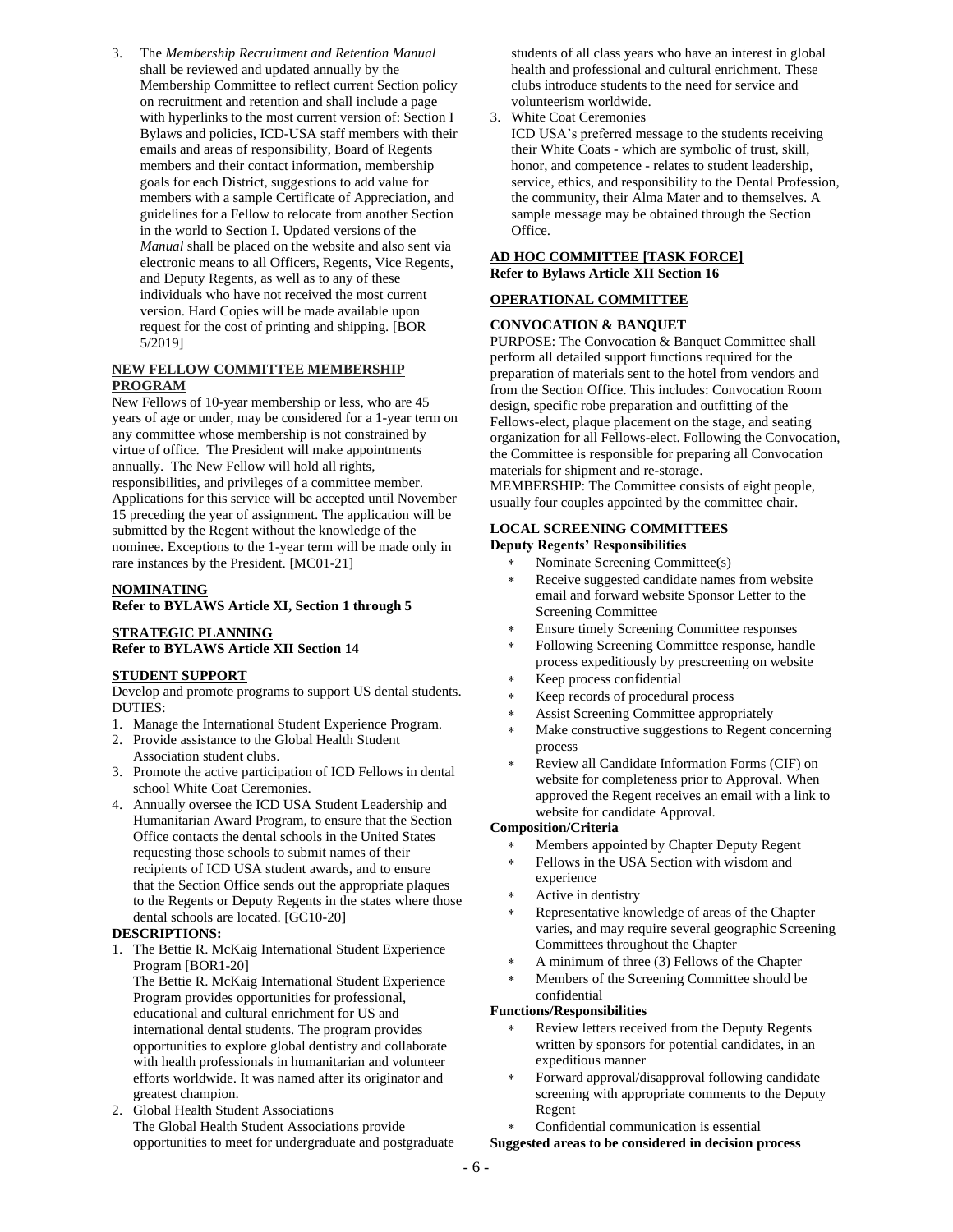3. The *Membership Recruitment and Retention Manual* shall be reviewed and updated annually by the Membership Committee to reflect current Section policy on recruitment and retention and shall include a page with hyperlinks to the most current version of: Section I Bylaws and policies, ICD-USA staff members with their emails and areas of responsibility, Board of Regents members and their contact information, membership goals for each District, suggestions to add value for members with a sample Certificate of Appreciation, and guidelines for a Fellow to relocate from another Section in the world to Section I. Updated versions of the *Manual* shall be placed on the website and also sent via electronic means to all Officers, Regents, Vice Regents, and Deputy Regents, as well as to any of these individuals who have not received the most current version. Hard Copies will be made available upon request for the cost of printing and shipping. [BOR 5/2019]

#### **NEW FELLOW COMMITTEE MEMBERSHIP PROGRAM**

New Fellows of 10-year membership or less, who are 45 years of age or under, may be considered for a 1-year term on any committee whose membership is not constrained by virtue of office. The President will make appointments annually. The New Fellow will hold all rights, responsibilities, and privileges of a committee member. Applications for this service will be accepted until November 15 preceding the year of assignment. The application will be submitted by the Regent without the knowledge of the nominee. Exceptions to the 1-year term will be made only in rare instances by the President. [MC01-21]

### **NOMINATING**

**Refer to BYLAWS Article XI, Section 1 through 5**

#### **STRATEGIC PLANNING Refer to BYLAWS Article XII Section 14**

#### **STUDENT SUPPORT**

Develop and promote programs to support US dental students. DUTIES:

- 1. Manage the International Student Experience Program.
- 2. Provide assistance to the Global Health Student Association student clubs.
- 3. Promote the active participation of ICD Fellows in dental school White Coat Ceremonies.
- 4. Annually oversee the ICD USA Student Leadership and Humanitarian Award Program, to ensure that the Section Office contacts the dental schools in the United States requesting those schools to submit names of their recipients of ICD USA student awards, and to ensure that the Section Office sends out the appropriate plaques to the Regents or Deputy Regents in the states where those dental schools are located. [GC10-20]

#### **DESCRIPTIONS:**

1. The Bettie R. McKaig International Student Experience Program [BOR1-20]

The Bettie R. McKaig International Student Experience Program provides opportunities for professional, educational and cultural enrichment for US and international dental students. The program provides opportunities to explore global dentistry and collaborate with health professionals in humanitarian and volunteer efforts worldwide. It was named after its originator and greatest champion.

2. Global Health Student Associations The Global Health Student Associations provide opportunities to meet for undergraduate and postgraduate students of all class years who have an interest in global health and professional and cultural enrichment. These clubs introduce students to the need for service and volunteerism worldwide.

3. White Coat Ceremonies

ICD USA's preferred message to the students receiving their White Coats - which are symbolic of trust, skill, honor, and competence - relates to student leadership, service, ethics, and responsibility to the Dental Profession, the community, their Alma Mater and to themselves. A sample message may be obtained through the Section Office.

# **AD HOC COMMITTEE [TASK FORCE]**

**Refer to Bylaws Article XII Section 16**

# **OPERATIONAL COMMITTEE**

#### **CONVOCATION & BANQUET**

PURPOSE: The Convocation & Banquet Committee shall perform all detailed support functions required for the preparation of materials sent to the hotel from vendors and from the Section Office. This includes: Convocation Room design, specific robe preparation and outfitting of the Fellows-elect, plaque placement on the stage, and seating organization for all Fellows-elect. Following the Convocation, the Committee is responsible for preparing all Convocation materials for shipment and re-storage.

MEMBERSHIP: The Committee consists of eight people, usually four couples appointed by the committee chair.

# **LOCAL SCREENING COMMITTEES**

#### **Deputy Regents' Responsibilities**

- Nominate Screening Committee(s)
- Receive suggested candidate names from website email and forward website Sponsor Letter to the Screening Committee
- Ensure timely Screening Committee responses
- Following Screening Committee response, handle process expeditiously by prescreening on website
- Keep process confidential
- Keep records of procedural process
- Assist Screening Committee appropriately
- Make constructive suggestions to Regent concerning process
- Review all Candidate Information Forms (CIF) on website for completeness prior to Approval. When approved the Regent receives an email with a link to website for candidate Approval.

#### **Composition/Criteria**

- Members appointed by Chapter Deputy Regent
- Fellows in the USA Section with wisdom and experience
- Active in dentistry
- Representative knowledge of areas of the Chapter varies, and may require several geographic Screening Committees throughout the Chapter
- A minimum of three (3) Fellows of the Chapter
- Members of the Screening Committee should be confidential

#### **Functions/Responsibilities**

- Review letters received from the Deputy Regents written by sponsors for potential candidates, in an expeditious manner
- Forward approval/disapproval following candidate screening with appropriate comments to the Deputy Regent
- Confidential communication is essential

#### **Suggested areas to be considered in decision process**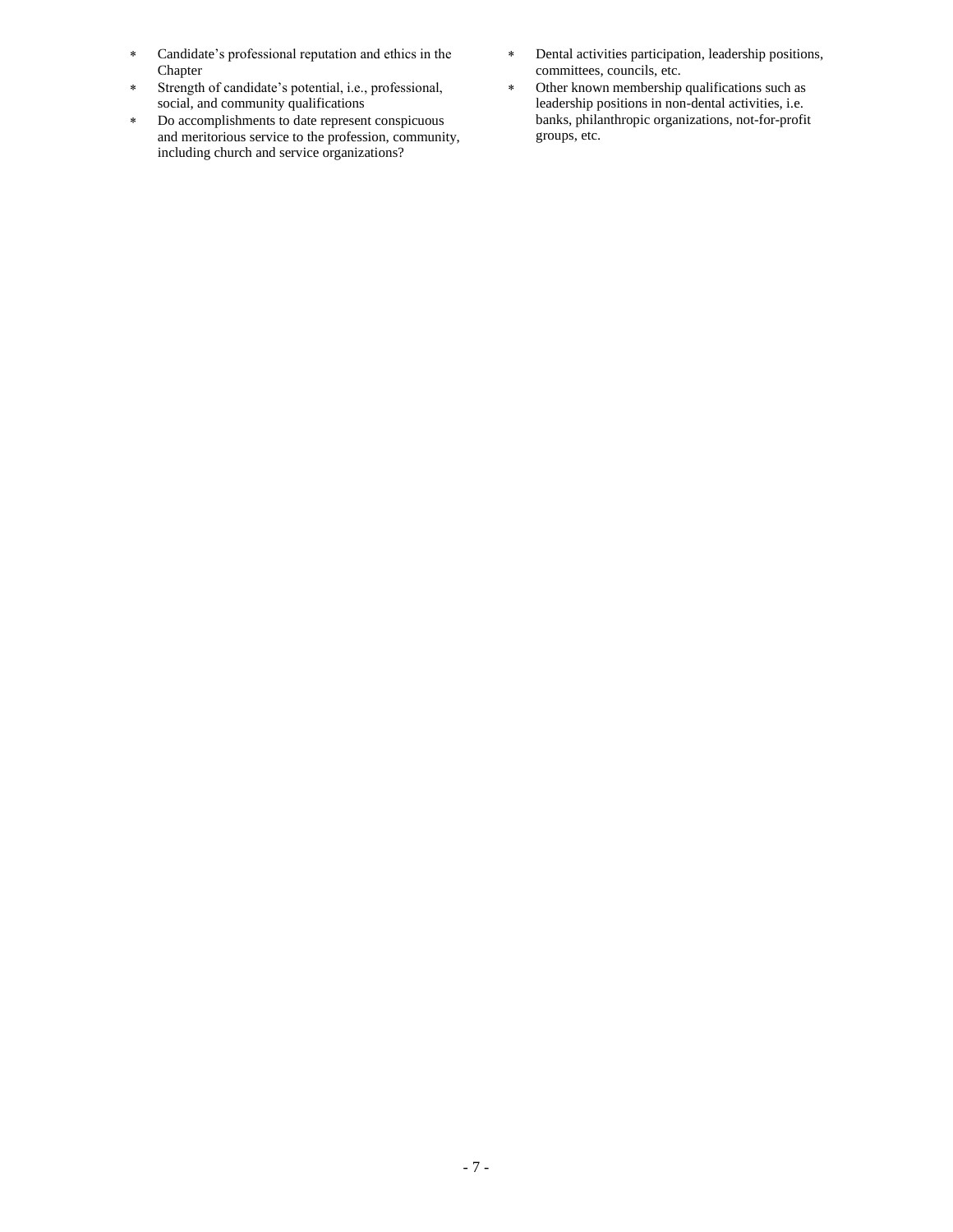- Candidate's professional reputation and ethics in the Chapter
- Strength of candidate's potential, i.e., professional, social, and community qualifications
- Do accomplishments to date represent conspicuous and meritorious service to the profession, community, including church and service organizations?
- Dental activities participation, leadership positions, committees, councils, etc.
- Other known membership qualifications such as leadership positions in non-dental activities, i.e. banks, philanthropic organizations, not-for-profit groups, etc.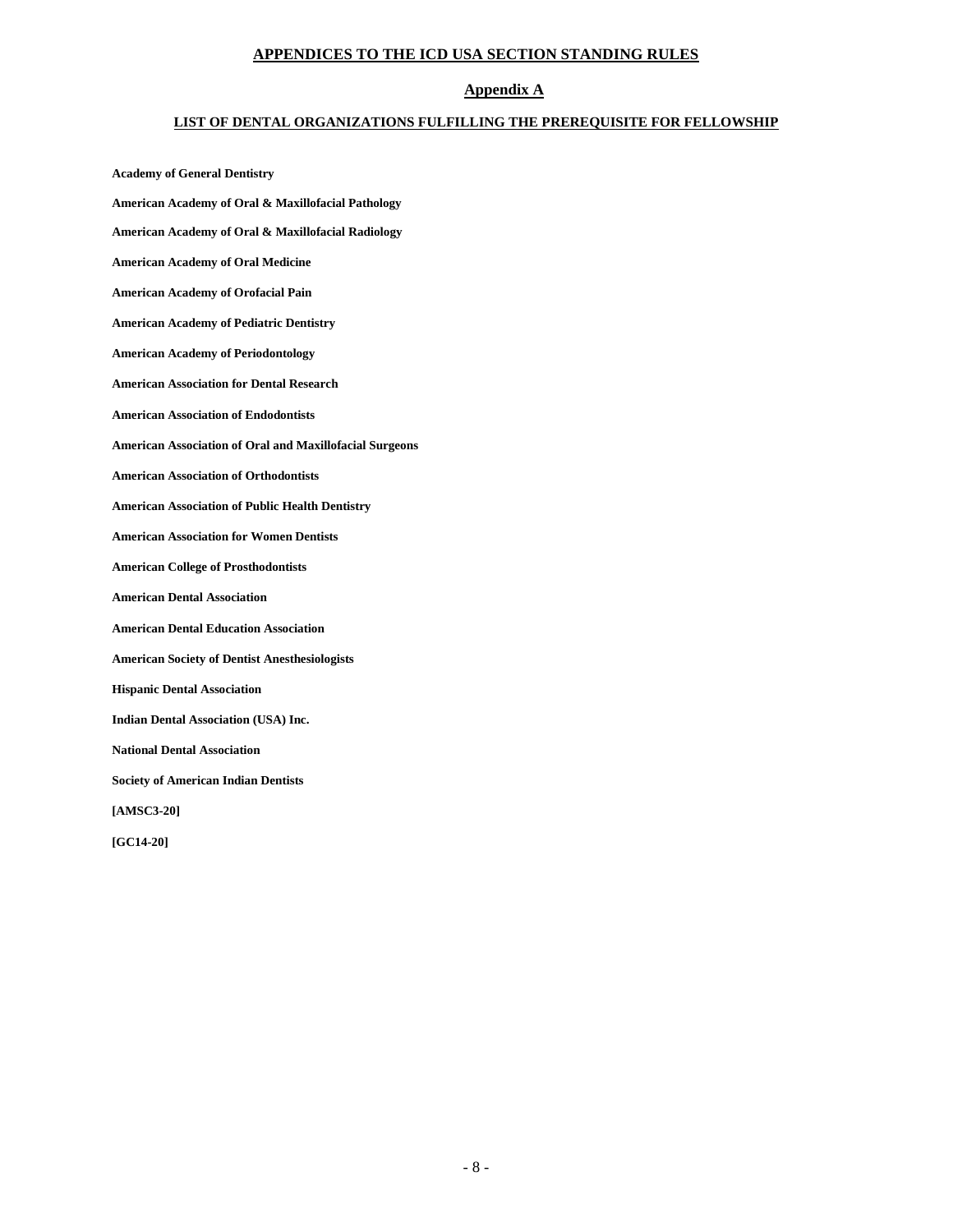### **APPENDICES TO THE ICD USA SECTION STANDING RULES**

# **Appendix A**

#### **LIST OF DENTAL ORGANIZATIONS FULFILLING THE PREREQUISITE FOR FELLOWSHIP**

**Academy of General Dentistry American Academy of Oral & Maxillofacial Pathology American Academy of Oral & Maxillofacial Radiology American Academy of Oral Medicine American Academy of Orofacial Pain American Academy of Pediatric Dentistry American Academy of Periodontology American Association for Dental Research American Association of Endodontists American Association of Oral and Maxillofacial Surgeons American Association of Orthodontists American Association of Public Health Dentistry American Association for Women Dentists American College of Prosthodontists American Dental Association American Dental Education Association American Society of Dentist Anesthesiologists Hispanic Dental Association Indian Dental Association (USA) Inc. National Dental Association Society of American Indian Dentists [AMSC3-20] [GC14-20]**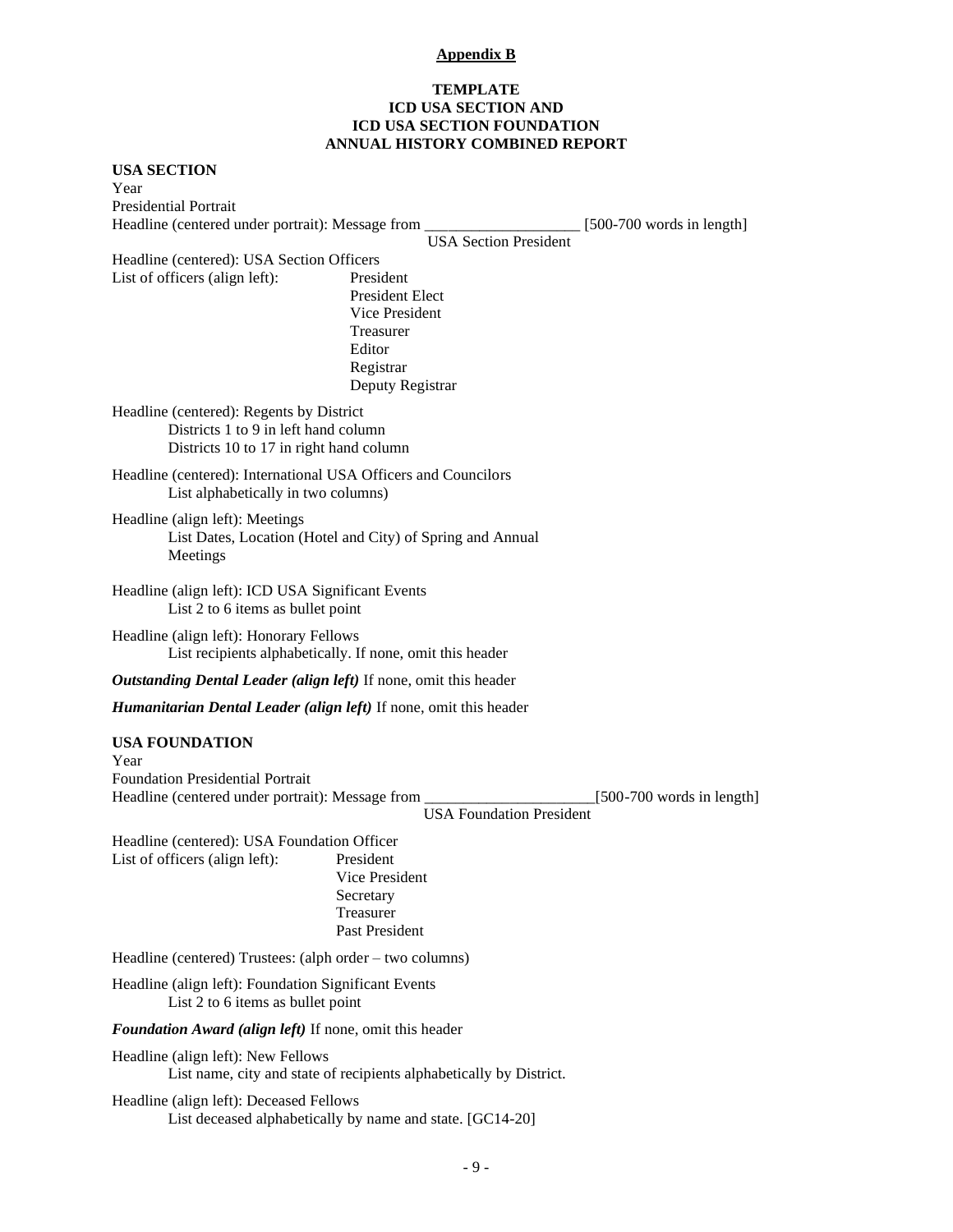# **Appendix B**

# **TEMPLATE ICD USA SECTION AND ICD USA SECTION FOUNDATION ANNUAL HISTORY COMBINED REPORT**

| <b>USA SECTION</b><br>Year                                                                                                  |                                                                                                               |                             |  |
|-----------------------------------------------------------------------------------------------------------------------------|---------------------------------------------------------------------------------------------------------------|-----------------------------|--|
| <b>Presidential Portrait</b>                                                                                                |                                                                                                               |                             |  |
| Headline (centered under portrait): Message from _                                                                          | [500-700 words in length]                                                                                     |                             |  |
| Headline (centered): USA Section Officers                                                                                   | <b>USA Section President</b>                                                                                  |                             |  |
| List of officers (align left):                                                                                              | President<br><b>President Elect</b><br>Vice President<br>Treasurer<br>Editor<br>Registrar<br>Deputy Registrar |                             |  |
| Headline (centered): Regents by District<br>Districts 1 to 9 in left hand column<br>Districts 10 to 17 in right hand column |                                                                                                               |                             |  |
| Headline (centered): International USA Officers and Councilors<br>List alphabetically in two columns)                       |                                                                                                               |                             |  |
| Headline (align left): Meetings<br>List Dates, Location (Hotel and City) of Spring and Annual<br>Meetings                   |                                                                                                               |                             |  |
| Headline (align left): ICD USA Significant Events<br>List 2 to 6 items as bullet point                                      |                                                                                                               |                             |  |
| Headline (align left): Honorary Fellows<br>List recipients alphabetically. If none, omit this header                        |                                                                                                               |                             |  |
| Outstanding Dental Leader (align left) If none, omit this header                                                            |                                                                                                               |                             |  |
| <b>Humanitarian Dental Leader (align left)</b> If none, omit this header                                                    |                                                                                                               |                             |  |
| <b>USA FOUNDATION</b><br>Year                                                                                               |                                                                                                               |                             |  |
| <b>Foundation Presidential Portrait</b><br>Headline (centered under portrait): Message from                                 | <b>USA Foundation President</b>                                                                               | $[500-700$ words in length] |  |
| Headline (centered): USA Foundation Officer<br>List of officers (align left):                                               | President<br>Vice President<br>Secretary<br>Treasurer<br>Past President                                       |                             |  |
| Headline (centered) Trustees: (alph order – two columns)                                                                    |                                                                                                               |                             |  |
| Headline (align left): Foundation Significant Events<br>List 2 to 6 items as bullet point                                   |                                                                                                               |                             |  |
| Foundation Award (align left) If none, omit this header                                                                     |                                                                                                               |                             |  |
| Headline (align left): New Fellows<br>List name, city and state of recipients alphabetically by District.                   |                                                                                                               |                             |  |
| Headline (align left): Deceased Fellows<br>List deceased alphabetically by name and state. [GC14-20]                        |                                                                                                               |                             |  |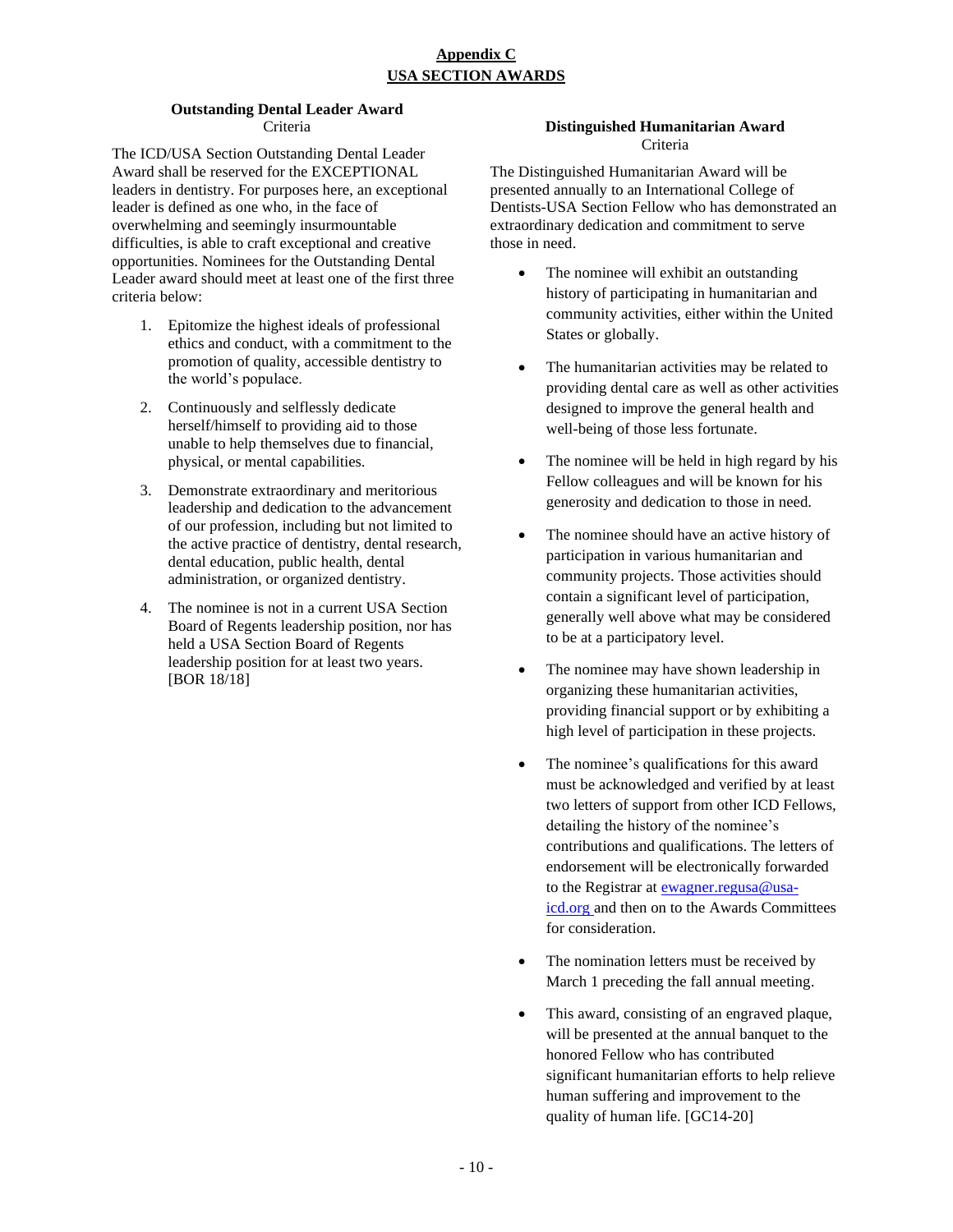# **Appendix C USA SECTION AWARDS**

# **Outstanding Dental Leader Award** Criteria

The ICD/USA Section Outstanding Dental Leader Award shall be reserved for the EXCEPTIONAL leaders in dentistry. For purposes here, an exceptional leader is defined as one who, in the face of overwhelming and seemingly insurmountable difficulties, is able to craft exceptional and creative opportunities. Nominees for the Outstanding Dental Leader award should meet at least one of the first three criteria below:

- 1. Epitomize the highest ideals of professional ethics and conduct, with a commitment to the promotion of quality, accessible dentistry to the world's populace.
- 2. Continuously and selflessly dedicate herself/himself to providing aid to those unable to help themselves due to financial, physical, or mental capabilities.
- 3. Demonstrate extraordinary and meritorious leadership and dedication to the advancement of our profession, including but not limited to the active practice of dentistry, dental research, dental education, public health, dental administration, or organized dentistry.
- 4. The nominee is not in a current USA Section Board of Regents leadership position, nor has held a USA Section Board of Regents leadership position for at least two years. [BOR 18/18]

# **Distinguished Humanitarian Award** Criteria

The Distinguished Humanitarian Award will be presented annually to an International College of Dentists-USA Section Fellow who has demonstrated an extraordinary dedication and commitment to serve those in need.

- The nominee will exhibit an outstanding history of participating in humanitarian and community activities, either within the United States or globally.
- The humanitarian activities may be related to providing dental care as well as other activities designed to improve the general health and well-being of those less fortunate.
- The nominee will be held in high regard by his Fellow colleagues and will be known for his generosity and dedication to those in need.
- The nominee should have an active history of participation in various humanitarian and community projects. Those activities should contain a significant level of participation, generally well above what may be considered to be at a participatory level.
- The nominee may have shown leadership in organizing these humanitarian activities, providing financial support or by exhibiting a high level of participation in these projects.
- The nominee's qualifications for this award must be acknowledged and verified by at least two letters of support from other ICD Fellows, detailing the history of the nominee's contributions and qualifications. The letters of endorsement will be electronically forwarded to the Registrar at [ewagner.regusa@usa](mailto:ewagner.regusa@usa-icd.org)[icd.org](mailto:ewagner.regusa@usa-icd.org) and then on to the Awards Committees for consideration.
- The nomination letters must be received by March 1 preceding the fall annual meeting.
- This award, consisting of an engraved plaque, will be presented at the annual banquet to the honored Fellow who has contributed significant humanitarian efforts to help relieve human suffering and improvement to the quality of human life. [GC14-20]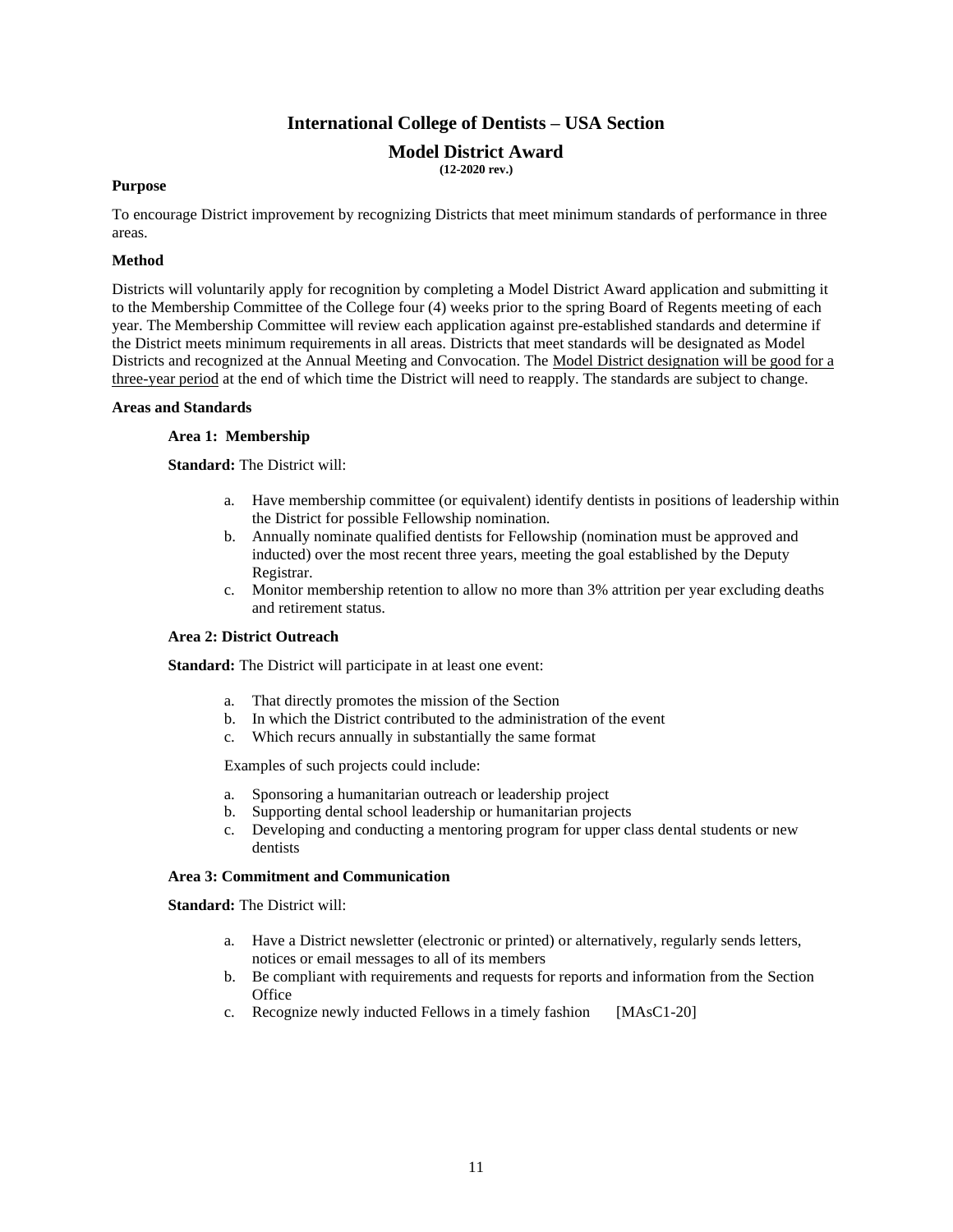# **International College of Dentists – USA Section**

# **Model District Award**

**(12-2020 rev.)**

#### **Purpose**

To encourage District improvement by recognizing Districts that meet minimum standards of performance in three areas.

# **Method**

Districts will voluntarily apply for recognition by completing a Model District Award application and submitting it to the Membership Committee of the College four (4) weeks prior to the spring Board of Regents meeting of each year. The Membership Committee will review each application against pre-established standards and determine if the District meets minimum requirements in all areas. Districts that meet standards will be designated as Model Districts and recognized at the Annual Meeting and Convocation. The Model District designation will be good for a three-year period at the end of which time the District will need to reapply. The standards are subject to change.

#### **Areas and Standards**

#### **Area 1: Membership**

**Standard:** The District will:

- a. Have membership committee (or equivalent) identify dentists in positions of leadership within the District for possible Fellowship nomination.
- b. Annually nominate qualified dentists for Fellowship (nomination must be approved and inducted) over the most recent three years, meeting the goal established by the Deputy Registrar.
- c. Monitor membership retention to allow no more than 3% attrition per year excluding deaths and retirement status.

# **Area 2: District Outreach**

**Standard:** The District will participate in at least one event:

- a. That directly promotes the mission of the Section
- b. In which the District contributed to the administration of the event
- c. Which recurs annually in substantially the same format

Examples of such projects could include:

- a. Sponsoring a humanitarian outreach or leadership project
- b. Supporting dental school leadership or humanitarian projects
- c. Developing and conducting a mentoring program for upper class dental students or new dentists

#### **Area 3: Commitment and Communication**

**Standard:** The District will:

- a. Have a District newsletter (electronic or printed) or alternatively, regularly sends letters, notices or email messages to all of its members
- b. Be compliant with requirements and requests for reports and information from the Section **Office**
- c. Recognize newly inducted Fellows in a timely fashion [MAsC1-20]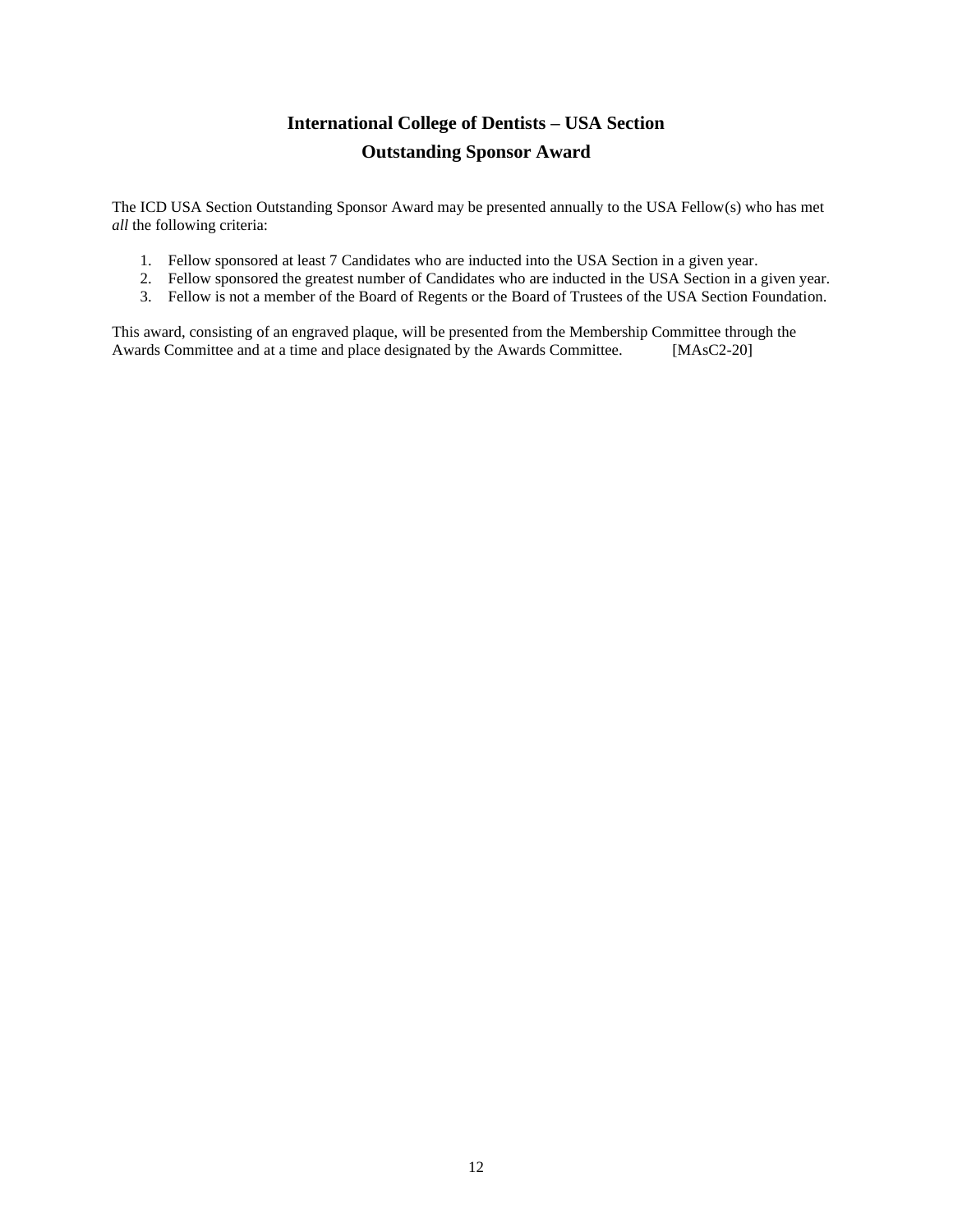# **International College of Dentists – USA Section Outstanding Sponsor Award**

The ICD USA Section Outstanding Sponsor Award may be presented annually to the USA Fellow(s) who has met *all* the following criteria:

- 1. Fellow sponsored at least 7 Candidates who are inducted into the USA Section in a given year.
- 2. Fellow sponsored the greatest number of Candidates who are inducted in the USA Section in a given year.
- 3. Fellow is not a member of the Board of Regents or the Board of Trustees of the USA Section Foundation.

This award, consisting of an engraved plaque, will be presented from the Membership Committee through the Awards Committee and at a time and place designated by the Awards Committee. [MAsC2-20]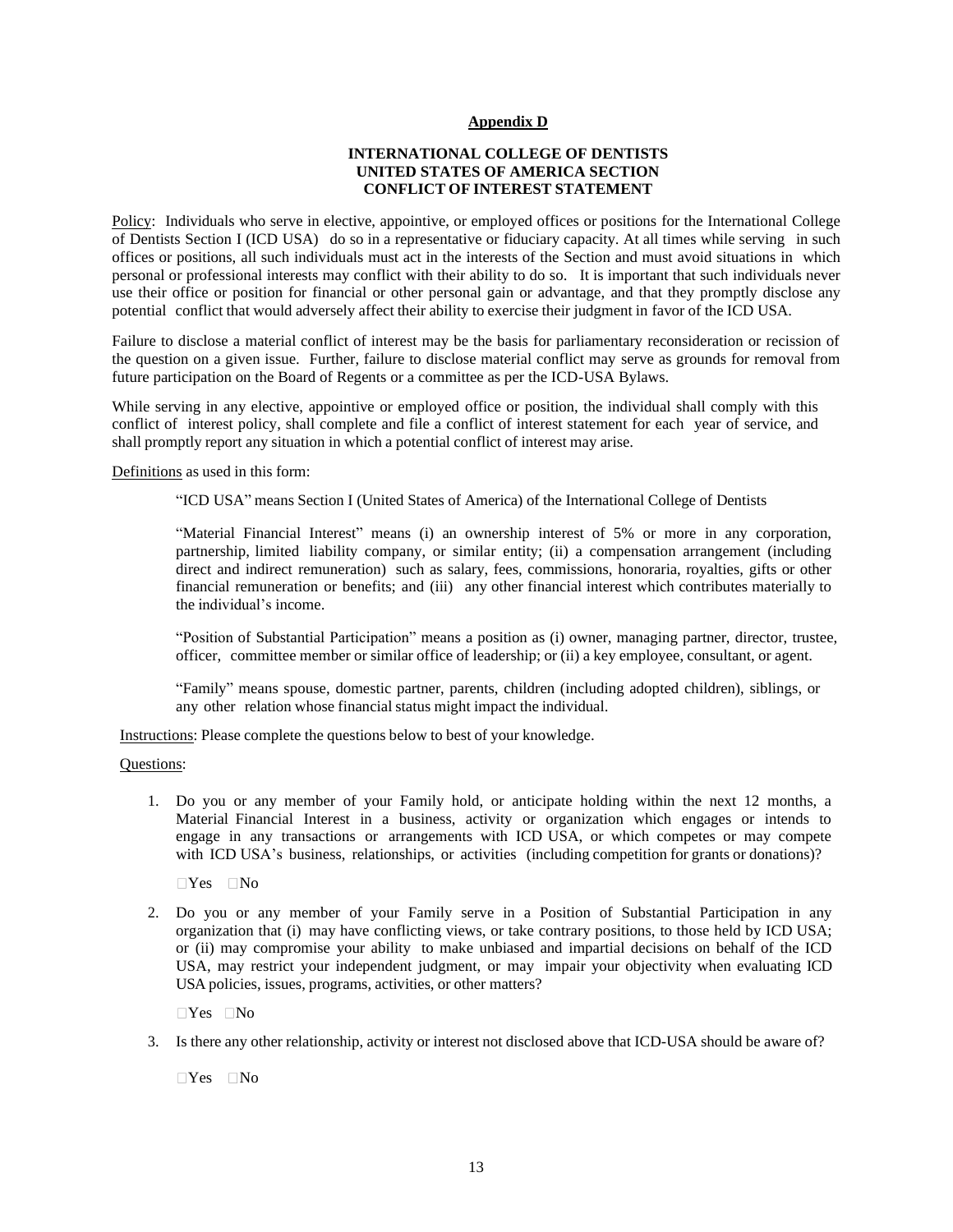#### **Appendix D**

# **INTERNATIONAL COLLEGE OF DENTISTS UNITED STATES OF AMERICA SECTION CONFLICT OF INTEREST STATEMENT**

Policy: Individuals who serve in elective, appointive, or employed offices or positions for the International College of Dentists Section I (ICD USA) do so in a representative or fiduciary capacity. At all times while serving in such offices or positions, all such individuals must act in the interests of the Section and must avoid situations in which personal or professional interests may conflict with their ability to do so. It is important that such individuals never use their office or position for financial or other personal gain or advantage, and that they promptly disclose any potential conflict that would adversely affect their ability to exercise their judgment in favor of the ICD USA.

Failure to disclose a material conflict of interest may be the basis for parliamentary reconsideration or recission of the question on a given issue. Further, failure to disclose material conflict may serve as grounds for removal from future participation on the Board of Regents or a committee as per the ICD-USA Bylaws.

While serving in any elective, appointive or employed office or position, the individual shall comply with this conflict of interest policy, shall complete and file a conflict of interest statement for each year of service, and shall promptly report any situation in which a potential conflict of interest may arise.

Definitions as used in this form:

"ICD USA" means Section I (United States of America) of the International College of Dentists

"Material Financial Interest" means (i) an ownership interest of 5% or more in any corporation, partnership, limited liability company, or similar entity; (ii) a compensation arrangement (including direct and indirect remuneration) such as salary, fees, commissions, honoraria, royalties, gifts or other financial remuneration or benefits; and (iii) any other financial interest which contributes materially to the individual's income.

"Position of Substantial Participation" means a position as (i) owner, managing partner, director, trustee, officer, committee member or similar office of leadership; or (ii) a key employee, consultant, or agent.

"Family" means spouse, domestic partner, parents, children (including adopted children), siblings, or any other relation whose financial status might impact the individual.

**Instructions:** Please complete the questions below to best of your knowledge.

Questions:

1. Do you or any member of your Family hold, or anticipate holding within the next 12 months, a Material Financial Interest in a business, activity or organization which engages or intends to engage in any transactions or arrangements with ICD USA, or which competes or may compete with ICD USA's business, relationships, or activities (including competition for grants or donations)?

 $\Box$ Yes  $\Box$ No

2. Do you or any member of your Family serve in a Position of Substantial Participation in any organization that (i) may have conflicting views, or take contrary positions, to those held by ICD USA; or (ii) may compromise your ability to make unbiased and impartial decisions on behalf of the ICD USA, may restrict your independent judgment, or may impair your objectivity when evaluating ICD USA policies, issues, programs, activities, or other matters?

 $\neg$ Yes  $\neg$ No

3. Is there any other relationship, activity or interest not disclosed above that ICD-USA should be aware of?

 $\Box$ Yes  $\Box$ No